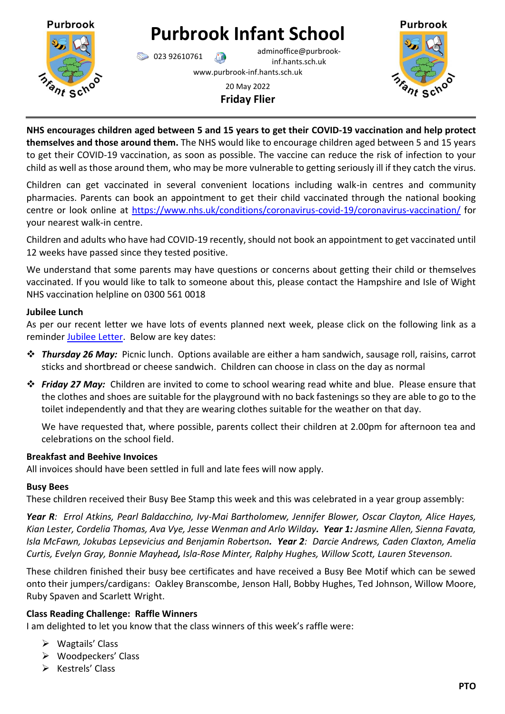

# **Purbrook Infant School**

023 92610761 adminoffice@purbrookinf.hants.sch.uk www.purbrook-inf.hants.sch.uk



20 May 2022 **Friday Flier**

**NHS encourages children aged between 5 and 15 years to get their COVID-19 vaccination and help protect themselves and those around them.** The NHS would like to encourage children aged between 5 and 15 years to get their COVID-19 vaccination, as soon as possible. The vaccine can reduce the risk of infection to your child as well as those around them, who may be more vulnerable to getting seriously ill if they catch the virus.

Children can get vaccinated in several convenient locations including walk-in centres and community pharmacies. Parents can book an appointment to get their child vaccinated through the national booking centre or look online at<https://www.nhs.uk/conditions/coronavirus-covid-19/coronavirus-vaccination/> for your nearest walk-in centre.

Children and adults who have had COVID-19 recently, should not book an appointment to get vaccinated until 12 weeks have passed since they tested positive.

We understand that some parents may have questions or concerns about getting their child or themselves vaccinated. If you would like to talk to someone about this, please contact the Hampshire and Isle of Wight NHS vaccination helpline on 0300 561 0018

# **Jubilee Lunch**

As per our recent letter we have lots of events planned next week, please click on the following link as a reminder [Jubilee Letter.](https://www.purbrook-inf.hants.sch.uk/wp-content/uploads/2022/05/17-05-2022-Let-re-Jubilee-celebrations.pdf) Below are key dates:

- ❖ *Thursday 26 May:* Picnic lunch. Options available are either a ham sandwich, sausage roll, raisins, carrot sticks and shortbread or cheese sandwich. Children can choose in class on the day as normal
- ❖ *Friday 27 May:* Children are invited to come to school wearing read white and blue. Please ensure that the clothes and shoes are suitable for the playground with no back fastenings so they are able to go to the toilet independently and that they are wearing clothes suitable for the weather on that day.

We have requested that, where possible, parents collect their children at 2.00pm for afternoon tea and celebrations on the school field.

## **Breakfast and Beehive Invoices**

All invoices should have been settled in full and late fees will now apply.

## **Busy Bees**

These children received their Busy Bee Stamp this week and this was celebrated in a year group assembly:

*Year R: Errol Atkins, Pearl Baldacchino, Ivy-Mai Bartholomew, Jennifer Blower, Oscar Clayton, Alice Hayes, Kian Lester, Cordelia Thomas, Ava Vye, Jesse Wenman and Arlo Wilday. Year 1: Jasmine Allen, Sienna Favata, Isla McFawn, Jokubas Lepsevicius and Benjamin Robertson. Year 2: Darcie Andrews, Caden Claxton, Amelia Curtis, Evelyn Gray, Bonnie Mayhead, Isla-Rose Minter, Ralphy Hughes, Willow Scott, Lauren Stevenson.*

These children finished their busy bee certificates and have received a Busy Bee Motif which can be sewed onto their jumpers/cardigans: Oakley Branscombe, Jenson Hall, Bobby Hughes, Ted Johnson, Willow Moore, Ruby Spaven and Scarlett Wright.

# **Class Reading Challenge: Raffle Winners**

I am delighted to let you know that the class winners of this week's raffle were:

- ➢ Wagtails' Class
- ➢ Woodpeckers' Class
- ➢ Kestrels' Class